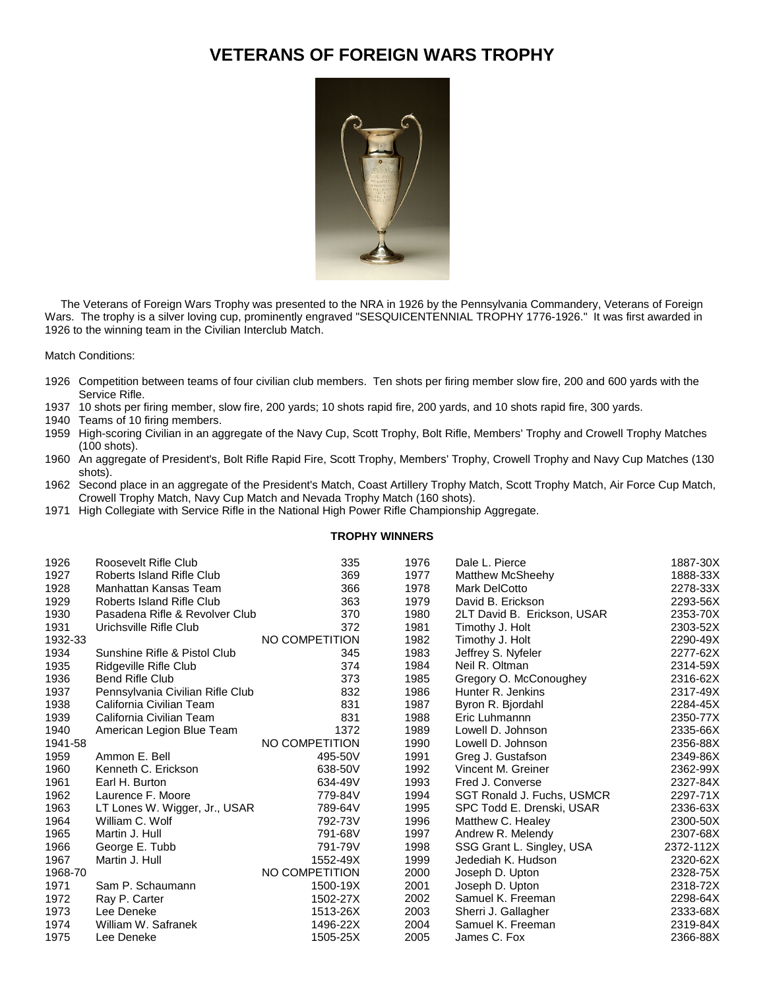## **VETERANS OF FOREIGN WARS TROPHY**



 The Veterans of Foreign Wars Trophy was presented to the NRA in 1926 by the Pennsylvania Commandery, Veterans of Foreign Wars. The trophy is a silver loving cup, prominently engraved "SESQUICENTENNIAL TROPHY 1776-1926." It was first awarded in 1926 to the winning team in the Civilian Interclub Match.

Match Conditions:

- Competition between teams of four civilian club members. Ten shots per firing member slow fire, 200 and 600 yards with the Service Rifle.
- 10 shots per firing member, slow fire, 200 yards; 10 shots rapid fire, 200 yards, and 10 shots rapid fire, 300 yards.
- Teams of 10 firing members.
- High-scoring Civilian in an aggregate of the Navy Cup, Scott Trophy, Bolt Rifle, Members' Trophy and Crowell Trophy Matches (100 shots).
- An aggregate of President's, Bolt Rifle Rapid Fire, Scott Trophy, Members' Trophy, Crowell Trophy and Navy Cup Matches (130 shots).
- Second place in an aggregate of the President's Match, Coast Artillery Trophy Match, Scott Trophy Match, Air Force Cup Match, Crowell Trophy Match, Navy Cup Match and Nevada Trophy Match (160 shots).
- High Collegiate with Service Rifle in the National High Power Rifle Championship Aggregate.

## **TROPHY WINNERS**

| 1926    | Roosevelt Rifle Club             | 335            | 1976 | Dale L. Pierce              | 1887-30X  |
|---------|----------------------------------|----------------|------|-----------------------------|-----------|
| 1927    | Roberts Island Rifle Club        | 369            | 1977 | <b>Matthew McSheehy</b>     | 1888-33X  |
| 1928    | Manhattan Kansas Team            | 366            | 1978 | Mark DelCotto               | 2278-33X  |
| 1929    | Roberts Island Rifle Club        | 363            | 1979 | David B. Erickson           | 2293-56X  |
| 1930    | Pasadena Rifle & Revolver Club   | 370            | 1980 | 2LT David B. Erickson, USAR | 2353-70X  |
| 1931    | Urichsville Rifle Club           | 372            | 1981 | Timothy J. Holt             | 2303-52X  |
| 1932-33 |                                  | NO COMPETITION | 1982 | Timothy J. Holt             | 2290-49X  |
| 1934    | Sunshine Rifle & Pistol Club     | 345            | 1983 | Jeffrey S. Nyfeler          | 2277-62X  |
| 1935    | Ridgeville Rifle Club            | 374            | 1984 | Neil R. Oltman              | 2314-59X  |
| 1936    | <b>Bend Rifle Club</b>           | 373            | 1985 | Gregory O. McConoughey      | 2316-62X  |
| 1937    | Pennsylvania Civilian Rifle Club | 832            | 1986 | Hunter R. Jenkins           | 2317-49X  |
| 1938    | California Civilian Team         | 831            | 1987 | Byron R. Biordahl           | 2284-45X  |
| 1939    | California Civilian Team         | 831            | 1988 | Eric Luhmannn               | 2350-77X  |
| 1940    | American Legion Blue Team        | 1372           | 1989 | Lowell D. Johnson           | 2335-66X  |
| 1941-58 |                                  | NO COMPETITION | 1990 | Lowell D. Johnson           | 2356-88X  |
| 1959    | Ammon E. Bell                    | 495-50V        | 1991 | Greg J. Gustafson           | 2349-86X  |
| 1960    | Kenneth C. Erickson              | 638-50V        | 1992 | Vincent M. Greiner          | 2362-99X  |
| 1961    | Earl H. Burton                   | 634-49V        | 1993 | Fred J. Converse            | 2327-84X  |
| 1962    | Laurence F. Moore                | 779-84V        | 1994 | SGT Ronald J. Fuchs, USMCR  | 2297-71X  |
| 1963    | LT Lones W. Wigger, Jr., USAR    | 789-64V        | 1995 | SPC Todd E. Drenski, USAR   | 2336-63X  |
| 1964    | William C. Wolf                  | 792-73V        | 1996 | Matthew C. Healey           | 2300-50X  |
| 1965    | Martin J. Hull                   | 791-68V        | 1997 | Andrew R. Melendy           | 2307-68X  |
| 1966    | George E. Tubb                   | 791-79V        | 1998 | SSG Grant L. Singley, USA   | 2372-112X |
| 1967    | Martin J. Hull                   | 1552-49X       | 1999 | Jedediah K. Hudson          | 2320-62X  |
| 1968-70 |                                  | NO COMPETITION | 2000 | Joseph D. Upton             | 2328-75X  |
| 1971    | Sam P. Schaumann                 | 1500-19X       | 2001 | Joseph D. Upton             | 2318-72X  |
| 1972    | Ray P. Carter                    | 1502-27X       | 2002 | Samuel K. Freeman           | 2298-64X  |
| 1973    | Lee Deneke                       | 1513-26X       | 2003 | Sherri J. Gallagher         | 2333-68X  |
| 1974    | William W. Safranek              | 1496-22X       | 2004 | Samuel K. Freeman           | 2319-84X  |
| 1975    | Lee Deneke                       | 1505-25X       | 2005 | James C. Fox                | 2366-88X  |